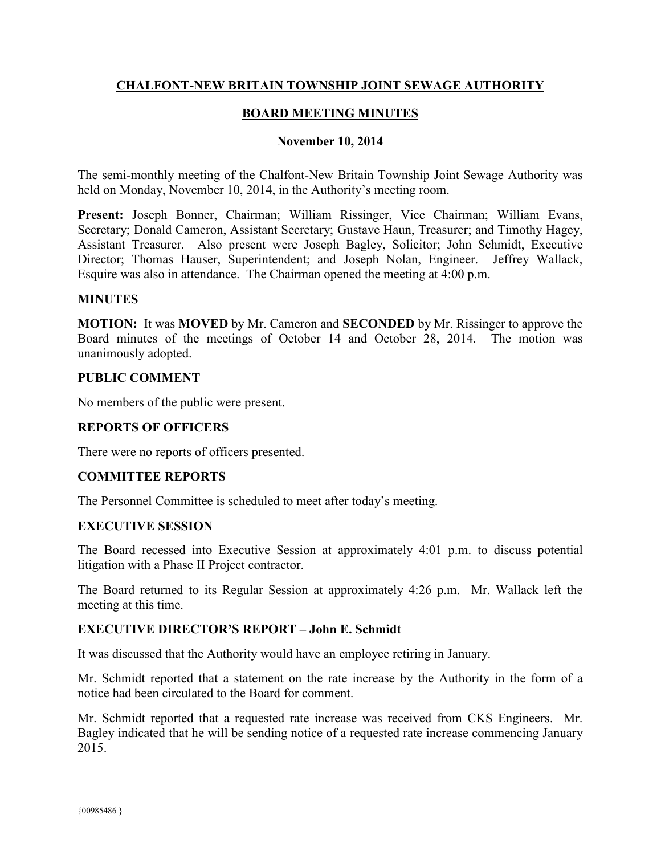# **CHALFONT-NEW BRITAIN TOWNSHIP JOINT SEWAGE AUTHORITY**

# **BOARD MEETING MINUTES**

#### **November 10, 2014**

The semi-monthly meeting of the Chalfont-New Britain Township Joint Sewage Authority was held on Monday, November 10, 2014, in the Authority's meeting room.

**Present:** Joseph Bonner, Chairman; William Rissinger, Vice Chairman; William Evans, Secretary; Donald Cameron, Assistant Secretary; Gustave Haun, Treasurer; and Timothy Hagey, Assistant Treasurer. Also present were Joseph Bagley, Solicitor; John Schmidt, Executive Director; Thomas Hauser, Superintendent; and Joseph Nolan, Engineer. Jeffrey Wallack, Esquire was also in attendance. The Chairman opened the meeting at 4:00 p.m.

#### **MINUTES**

**MOTION:** It was **MOVED** by Mr. Cameron and **SECONDED** by Mr. Rissinger to approve the Board minutes of the meetings of October 14 and October 28, 2014. The motion was unanimously adopted.

#### **PUBLIC COMMENT**

No members of the public were present.

## **REPORTS OF OFFICERS**

There were no reports of officers presented.

## **COMMITTEE REPORTS**

The Personnel Committee is scheduled to meet after today's meeting.

## **EXECUTIVE SESSION**

The Board recessed into Executive Session at approximately 4:01 p.m. to discuss potential litigation with a Phase II Project contractor.

The Board returned to its Regular Session at approximately 4:26 p.m. Mr. Wallack left the meeting at this time.

## **EXECUTIVE DIRECTOR'S REPORT – John E. Schmidt**

It was discussed that the Authority would have an employee retiring in January.

Mr. Schmidt reported that a statement on the rate increase by the Authority in the form of a notice had been circulated to the Board for comment.

Mr. Schmidt reported that a requested rate increase was received from CKS Engineers. Mr. Bagley indicated that he will be sending notice of a requested rate increase commencing January 2015.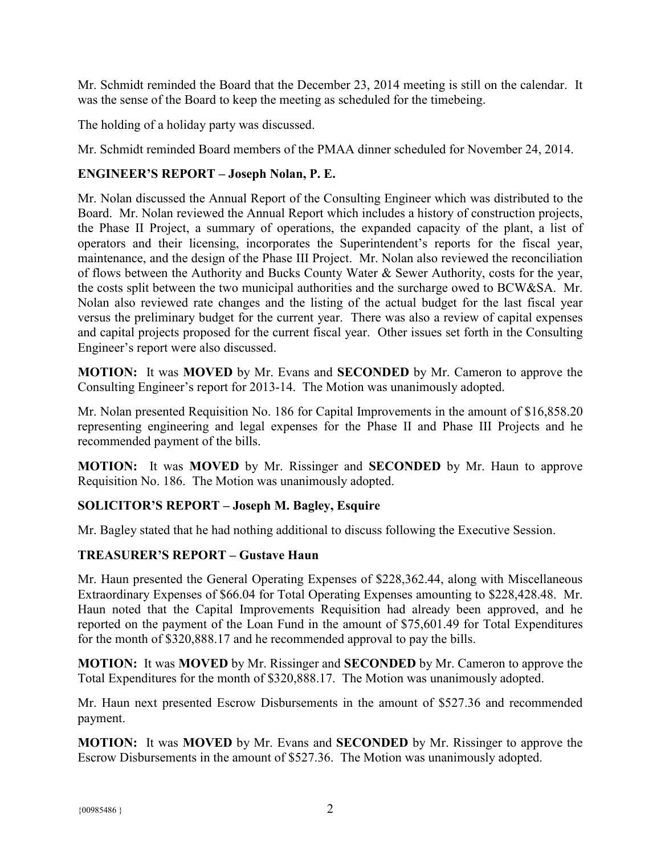Mr. Schmidt reminded the Board that the December 23, 2014 meeting is still on the calendar. It was the sense of the Board to keep the meeting as scheduled for the timebeing.

The holding of a holiday party was discussed.

Mr. Schmidt reminded Board members of the PMAA dinner scheduled for November 24, 2014.

# **ENGINEER'S REPORT – Joseph Nolan, P. E.**

Mr. Nolan discussed the Annual Report of the Consulting Engineer which was distributed to the Board. Mr. Nolan reviewed the Annual Report which includes a history of construction projects, the Phase II Project, a summary of operations, the expanded capacity of the plant, a list of operators and their licensing, incorporates the Superintendent's reports for the fiscal year, maintenance, and the design of the Phase III Project. Mr. Nolan also reviewed the reconciliation of flows between the Authority and Bucks County Water & Sewer Authority, costs for the year, the costs split between the two municipal authorities and the surcharge owed to BCW&SA. Mr. Nolan also reviewed rate changes and the listing of the actual budget for the last fiscal year versus the preliminary budget for the current year. There was also a review of capital expenses and capital projects proposed for the current fiscal year. Other issues set forth in the Consulting Engineer's report were also discussed.

**MOTION:** It was **MOVED** by Mr. Evans and **SECONDED** by Mr. Cameron to approve the Consulting Engineer's report for 2013-14. The Motion was unanimously adopted.

Mr. Nolan presented Requisition No. 186 for Capital Improvements in the amount of \$16,858.20 representing engineering and legal expenses for the Phase II and Phase III Projects and he recommended payment of the bills.

**MOTION:** It was **MOVED** by Mr. Rissinger and **SECONDED** by Mr. Haun to approve Requisition No. 186. The Motion was unanimously adopted.

# **SOLICITOR'S REPORT – Joseph M. Bagley, Esquire**

Mr. Bagley stated that he had nothing additional to discuss following the Executive Session.

## **TREASURER'S REPORT – Gustave Haun**

Mr. Haun presented the General Operating Expenses of \$228,362.44, along with Miscellaneous Extraordinary Expenses of \$66.04 for Total Operating Expenses amounting to \$228,428.48. Mr. Haun noted that the Capital Improvements Requisition had already been approved, and he reported on the payment of the Loan Fund in the amount of \$75,601.49 for Total Expenditures for the month of \$320,888.17 and he recommended approval to pay the bills.

**MOTION:** It was **MOVED** by Mr. Rissinger and **SECONDED** by Mr. Cameron to approve the Total Expenditures for the month of \$320,888.17. The Motion was unanimously adopted.

Mr. Haun next presented Escrow Disbursements in the amount of \$527.36 and recommended payment.

**MOTION:** It was **MOVED** by Mr. Evans and **SECONDED** by Mr. Rissinger to approve the Escrow Disbursements in the amount of \$527.36. The Motion was unanimously adopted.